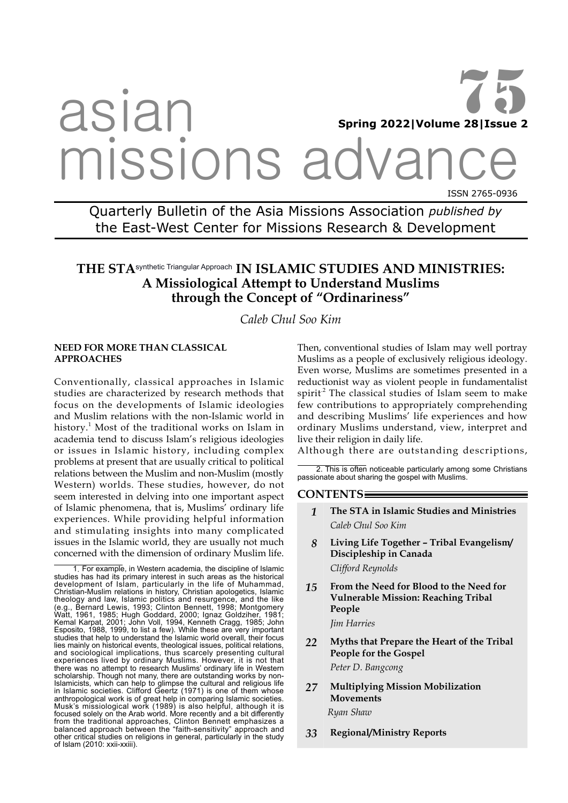# asian missions advar ISSN 2765-0936 **Spring 2022|Volume 28|Issue 2** 75

Quarterly Bulletin of the Asia Missions Association *published by*  the East-West Center for Missions Research & Development

# **THE STA**synthetic Triangular Approach **IN ISLAMIC STUDIES AND MINISTRIES: A Missiological Attempt to Understand Muslims through the Concept of "Ordinariness"**

*Caleb Chul Soo Kim*

## **NEED FOR MORE THAN CLASSICAL APPROACHES**

Conventionally, classical approaches in Islamic studies are characterized by research methods that focus on the developments of Islamic ideologies and Muslim relations with the non-Islamic world in history.<sup>1</sup> Most of the traditional works on Islam in academia tend to discuss Islam's religious ideologies or issues in Islamic history, including complex problems at present that are usually critical to political relations between the Muslim and non-Muslim (mostly Western) worlds. These studies, however, do not seem interested in delving into one important aspect of Islamic phenomena, that is, Muslims' ordinary life experiences. While providing helpful information and stimulating insights into many complicated issues in the Islamic world, they are usually not much concerned with the dimension of ordinary Muslim life.

Then, conventional studies of Islam may well portray Muslims as a people of exclusively religious ideology. Even worse, Muslims are sometimes presented in a reductionist way as violent people in fundamentalist spirit<sup>2</sup> The classical studies of Islam seem to make few contributions to appropriately comprehending and describing Muslims' life experiences and how ordinary Muslims understand, view, interpret and live their religion in daily life.

Although there are outstanding descriptions,

2. This is often noticeable particularly among some Christians passionate about sharing the gospel with Muslims.

## **CONTENTS**

- *1* **The STA in Islamic Studies and Ministries** *Caleb Chul Soo Kim*
- *8* **Living Life Together Tribal Evangelism/ Discipleship in Canada** *Clifford Reynolds*
- *15* **From the Need for Blood to the Need for Vulnerable Mission: Reaching Tribal People**  *Jim Harries*
- *22* **Myths that Prepare the Heart of the Tribal People for the Gospel** *Peter D. Bangcong*
- *27* **Multiplying Mission Mobilization Movements** *Ryan Shaw*
- *33* **Regional/Ministry Reports**

<sup>1</sup>. For example, in Western academia, the discipline of Islamic studies has had its primary interest in such areas as the historical development of Islam, particularly in the life of Muhammad, Christian-Muslim relations in history, Christian apologetics, Islamic theology and law, Islamic politics and resurgence, and the like (e.g., Bernard Lewis, 1993; Clinton Bennett, 1998; Montgomery Watt, 1961, 1985; Hugh Goddard, 2000; Ignaz Goldziher, 1981; Kemal Karpat, 2001; John Voll, 1994, Kenneth Cragg, 1985; John Esposito, 1988, 1999, to list a few). While these are very important studies that help to understand the Islamic world overall, their focus lies mainly on historical events, theological issues, political relations, and sociological implications, thus scarcely presenting cultural experiences lived by ordinary Muslims. However, it is not that there was no attempt to research Muslims' ordinary life in Western scholarship. Though not many, there are outstanding works by non-Islamicists, which can help to glimpse the cultural and religious life in Islamic societies. Clifford Geertz (1971) is one of them whose anthropological work is of great help in comparing Islamic societies. Musk's missiological work (1989) is also helpful, although it is focused solely on the Arab world. More recently and a bit differently from the traditional approaches, Clinton Bennett emphasizes a balanced approach between the "faith-sensitivity" approach and other critical studies on religions in general, particularly in the study of Islam (2010: xxii-xxiii).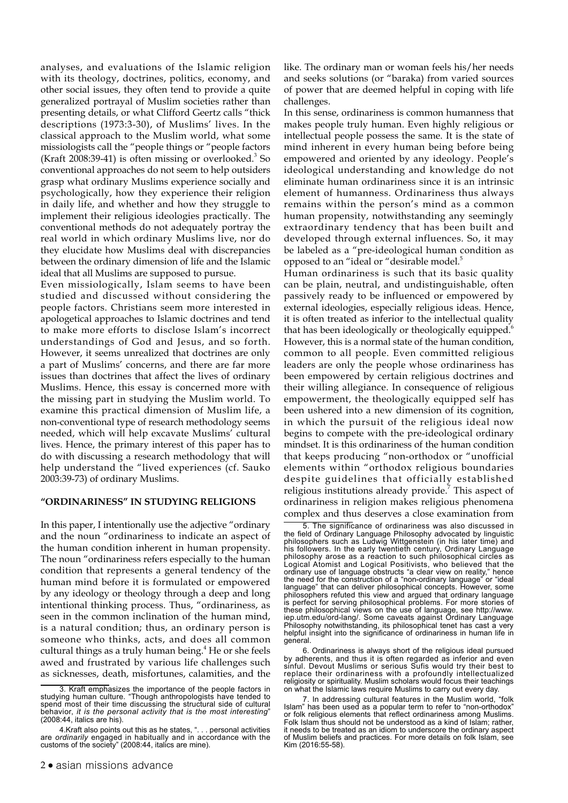analyses, and evaluations of the Islamic religion with its theology, doctrines, politics, economy, and other social issues, they often tend to provide a quite generalized portrayal of Muslim societies rather than presenting details, or what Clifford Geertz calls "thick descriptions (1973:3-30), of Muslims' lives. In the classical approach to the Muslim world, what some missiologists call the "people things or "people factors (Kraft 2008:39-41) is often missing or overlooked. $3$  So conventional approaches do not seem to help outsiders grasp what ordinary Muslims experience socially and psychologically, how they experience their religion in daily life, and whether and how they struggle to implement their religious ideologies practically. The conventional methods do not adequately portray the real world in which ordinary Muslims live, nor do they elucidate how Muslims deal with discrepancies between the ordinary dimension of life and the Islamic ideal that all Muslims are supposed to pursue.

Even missiologically, Islam seems to have been studied and discussed without considering the people factors. Christians seem more interested in apologetical approaches to Islamic doctrines and tend to make more efforts to disclose Islam's incorrect understandings of God and Jesus, and so forth. However, it seems unrealized that doctrines are only a part of Muslims' concerns, and there are far more issues than doctrines that affect the lives of ordinary Muslims. Hence, this essay is concerned more with the missing part in studying the Muslim world. To examine this practical dimension of Muslim life, a non-conventional type of research methodology seems needed, which will help excavate Muslims' cultural lives. Hence, the primary interest of this paper has to do with discussing a research methodology that will help understand the "lived experiences (cf. Sauko 2003:39-73) of ordinary Muslims.

#### **"ORDINARINESS" IN STUDYING RELIGIONS**

In this paper, I intentionally use the adjective "ordinary and the noun "ordinariness to indicate an aspect of the human condition inherent in human propensity. The noun "ordinariness refers especially to the human condition that represents a general tendency of the human mind before it is formulated or empowered by any ideology or theology through a deep and long intentional thinking process. Thus, "ordinariness, as seen in the common inclination of the human mind, is a natural condition; thus, an ordinary person is someone who thinks, acts, and does all common cultural things as a truly human being.<sup>4</sup> He or she feels awed and frustrated by various life challenges such as sicknesses, death, misfortunes, calamities, and the like. The ordinary man or woman feels his/her needs and seeks solutions (or "baraka) from varied sources of power that are deemed helpful in coping with life challenges.

In this sense, ordinariness is common humanness that makes people truly human. Even highly religious or intellectual people possess the same. It is the state of mind inherent in every human being before being empowered and oriented by any ideology. People's ideological understanding and knowledge do not eliminate human ordinariness since it is an intrinsic element of humanness. Ordinariness thus always remains within the person's mind as a common human propensity, notwithstanding any seemingly extraordinary tendency that has been built and developed through external influences. So, it may be labeled as a "pre-ideological human condition as opposed to an "ideal or "desirable model.<sup>5</sup>

Human ordinariness is such that its basic quality can be plain, neutral, and undistinguishable, often passively ready to be influenced or empowered by external ideologies, especially religious ideas. Hence, it is often treated as inferior to the intellectual quality that has been ideologically or theologically equipped. $6$ However, this is a normal state of the human condition, common to all people. Even committed religious leaders are only the people whose ordinariness has been empowered by certain religious doctrines and their willing allegiance. In consequence of religious empowerment, the theologically equipped self has been ushered into a new dimension of its cognition, in which the pursuit of the religious ideal now begins to compete with the pre-ideological ordinary mindset. It is this ordinariness of the human condition that keeps producing "non-orthodox or "unofficial elements within "orthodox religious boundaries despite guidelines that officially established religious institutions already provide.<sup>7</sup> This aspect of ordinariness in religion makes religious phenomena complex and thus deserves a close examination from

6. Ordinariness is always short of the religious ideal pursued by adherents, and thus it is often regarded as inferior and even sinful. Devout Muslims or serious Sufis would try their best to replace their ordinariness with a profoundly intellectualized religiosity or spirituality. Muslim scholars would focus their teachings on what the Islamic laws require Muslims to carry out every day.

<sup>3.</sup> Kraft emphasizes the importance of the people factors in studying human culture. "Though anthropologists have tended to spend most of their time discussing the structural side of cultural behavior, *it is the personal activity that is the most interesting*" (2008:44, italics are his).

<sup>4.</sup>Kraft also points out this as he states, ". . . personal activities are *ordinarily* engaged in habitually and in accordance with the customs of the society" (2008:44, italics are mine).

<sup>5.</sup> The significance of ordinariness was also discussed in the field of Ordinary Language Philosophy advocated by linguistic philosophers such as Ludwig Wittgenstein (in his later time) and his followers. In the early twentieth century, Ordinary Language philosophy arose as a reaction to such philosophical circles as Logical Atomist and Logical Positivists, who believed that the ordinary use of language obstructs "a clear view on reality," hence the need for the construction of a "non-ordinary language" or "ideal language" that can deliver philosophical concepts. However, some philosophers refuted this view and argued that ordinary language is perfect for serving philosophical problems. For more stories of these philosophical views on the use of language, see http://www. iep.utm.edu/ord-lang/. Some caveats against Ordinary Language Philosophy notwithstanding, its philosophical tenet has cast a very helpful insight into the significance of ordinariness in human life in general.

<sup>7.</sup> In addressing cultural features in the Muslim world, "folk Islam" has been used as a popular term to refer to "non-orthodox" or folk religious elements that reflect ordinariness among Muslims. Folk Islam thus should not be understood as a kind of Islam; rather, it needs to be treated as an idiom to underscore the ordinary aspect of Muslim beliefs and practices. For more details on folk Islam, see Kim (2016:55-58).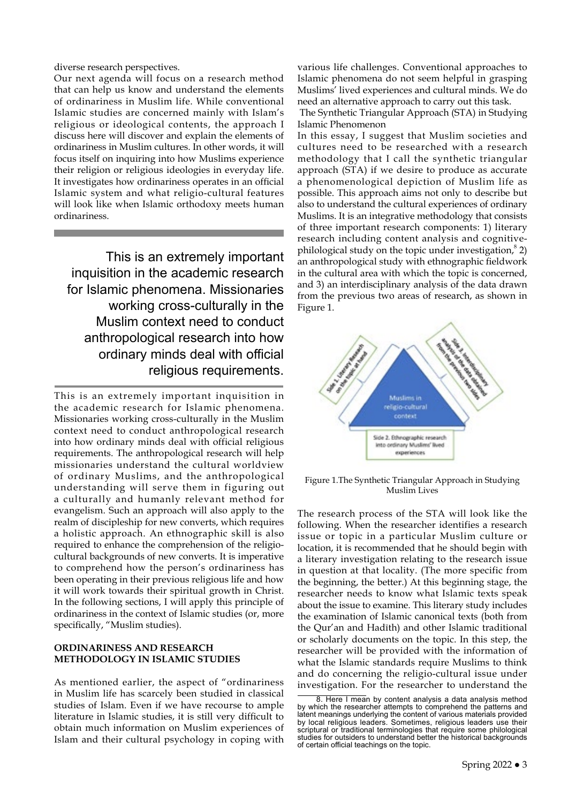diverse research perspectives.

Our next agenda will focus on a research method that can help us know and understand the elements of ordinariness in Muslim life. While conventional Islamic studies are concerned mainly with Islam's religious or ideological contents, the approach I discuss here will discover and explain the elements of ordinariness in Muslim cultures. In other words, it will focus itself on inquiring into how Muslims experience their religion or religious ideologies in everyday life. It investigates how ordinariness operates in an official Islamic system and what religio-cultural features will look like when Islamic orthodoxy meets human ordinariness.

This is an extremely important inquisition in the academic research for Islamic phenomena. Missionaries working cross-culturally in the Muslim context need to conduct anthropological research into how ordinary minds deal with official religious requirements.

This is an extremely important inquisition in the academic research for Islamic phenomena. Missionaries working cross-culturally in the Muslim context need to conduct anthropological research into how ordinary minds deal with official religious requirements. The anthropological research will help missionaries understand the cultural worldview of ordinary Muslims, and the anthropological understanding will serve them in figuring out a culturally and humanly relevant method for evangelism. Such an approach will also apply to the realm of discipleship for new converts, which requires a holistic approach. An ethnographic skill is also required to enhance the comprehension of the religiocultural backgrounds of new converts. It is imperative to comprehend how the person's ordinariness has been operating in their previous religious life and how it will work towards their spiritual growth in Christ. In the following sections, I will apply this principle of ordinariness in the context of Islamic studies (or, more specifically, "Muslim studies).

# **ORDINARINESS AND RESEARCH METHODOLOGY IN ISLAMIC STUDIES**

As mentioned earlier, the aspect of "ordinariness in Muslim life has scarcely been studied in classical studies of Islam. Even if we have recourse to ample literature in Islamic studies, it is still very difficult to obtain much information on Muslim experiences of Islam and their cultural psychology in coping with

various life challenges. Conventional approaches to Islamic phenomena do not seem helpful in grasping Muslims' lived experiences and cultural minds. We do need an alternative approach to carry out this task.

The Synthetic Triangular Approach (STA) in Studying Islamic Phenomenon

In this essay, I suggest that Muslim societies and cultures need to be researched with a research methodology that I call the synthetic triangular approach (STA) if we desire to produce as accurate a phenomenological depiction of Muslim life as possible. This approach aims not only to describe but also to understand the cultural experiences of ordinary Muslims. It is an integrative methodology that consists of three important research components: 1) literary research including content analysis and cognitivephilological study on the topic under investigation, ${}^{8}$  2) an anthropological study with ethnographic fieldwork in the cultural area with which the topic is concerned, and 3) an interdisciplinary analysis of the data drawn from the previous two areas of research, as shown in Figure 1.



Figure 1.The Synthetic Triangular Approach in Studying Muslim Lives

The research process of the STA will look like the following. When the researcher identifies a research issue or topic in a particular Muslim culture or location, it is recommended that he should begin with a literary investigation relating to the research issue in question at that locality. (The more specific from the beginning, the better.) At this beginning stage, the researcher needs to know what Islamic texts speak about the issue to examine. This literary study includes the examination of Islamic canonical texts (both from the Qur'an and Hadīth) and other Islamic traditional or scholarly documents on the topic. In this step, the researcher will be provided with the information of what the Islamic standards require Muslims to think and do concerning the religio-cultural issue under investigation. For the researcher to understand the

<sup>8.</sup> Here I mean by content analysis a data analysis method by which the researcher attempts to comprehend the patterns and latent meanings underlying the content of various materials provided by local religious leaders. Sometimes, religious leaders use their scriptural or traditional terminologies that require some philological studies for outsiders to understand better the historical backgrounds of certain official teachings on the topic.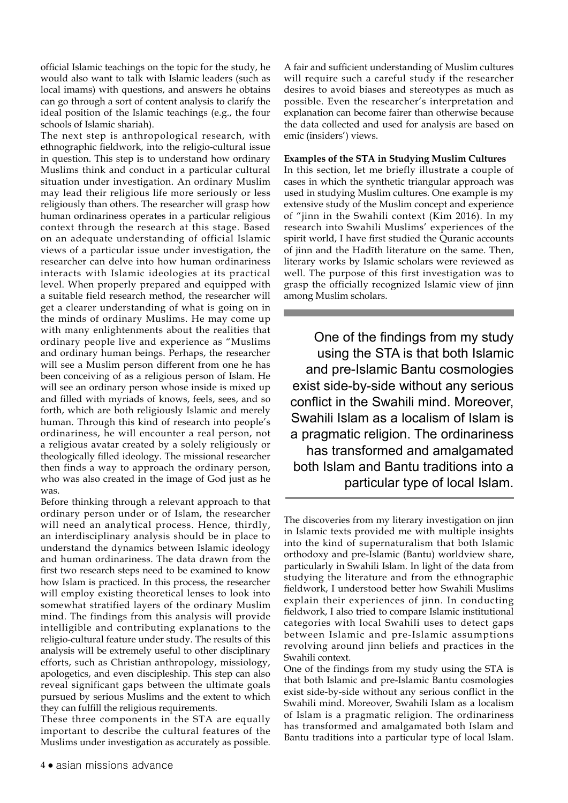official Islamic teachings on the topic for the study, he would also want to talk with Islamic leaders (such as local imams) with questions, and answers he obtains can go through a sort of content analysis to clarify the ideal position of the Islamic teachings (e.g., the four schools of Islamic shariah).

The next step is anthropological research, with ethnographic fieldwork, into the religio-cultural issue in question. This step is to understand how ordinary Muslims think and conduct in a particular cultural situation under investigation. An ordinary Muslim may lead their religious life more seriously or less religiously than others. The researcher will grasp how human ordinariness operates in a particular religious context through the research at this stage. Based on an adequate understanding of official Islamic views of a particular issue under investigation, the researcher can delve into how human ordinariness interacts with Islamic ideologies at its practical level. When properly prepared and equipped with a suitable field research method, the researcher will get a clearer understanding of what is going on in the minds of ordinary Muslims. He may come up with many enlightenments about the realities that ordinary people live and experience as "Muslims and ordinary human beings. Perhaps, the researcher will see a Muslim person different from one he has been conceiving of as a religious person of Islam. He will see an ordinary person whose inside is mixed up and filled with myriads of knows, feels, sees, and so forth, which are both religiously Islamic and merely human. Through this kind of research into people's ordinariness, he will encounter a real person, not a religious avatar created by a solely religiously or theologically filled ideology. The missional researcher then finds a way to approach the ordinary person, who was also created in the image of God just as he was.

Before thinking through a relevant approach to that ordinary person under or of Islam, the researcher will need an analytical process. Hence, thirdly, an interdisciplinary analysis should be in place to understand the dynamics between Islamic ideology and human ordinariness. The data drawn from the first two research steps need to be examined to know how Islam is practiced. In this process, the researcher will employ existing theoretical lenses to look into somewhat stratified layers of the ordinary Muslim mind. The findings from this analysis will provide intelligible and contributing explanations to the religio-cultural feature under study. The results of this analysis will be extremely useful to other disciplinary efforts, such as Christian anthropology, missiology, apologetics, and even discipleship. This step can also reveal significant gaps between the ultimate goals pursued by serious Muslims and the extent to which they can fulfill the religious requirements.

These three components in the STA are equally important to describe the cultural features of the Muslims under investigation as accurately as possible.

A fair and sufficient understanding of Muslim cultures will require such a careful study if the researcher desires to avoid biases and stereotypes as much as possible. Even the researcher's interpretation and explanation can become fairer than otherwise because the data collected and used for analysis are based on emic (insiders') views.

#### **Examples of the STA in Studying Muslim Cultures**

In this section, let me briefly illustrate a couple of cases in which the synthetic triangular approach was used in studying Muslim cultures. One example is my extensive study of the Muslim concept and experience of "jinn in the Swahili context (Kim 2016). In my research into Swahili Muslims' experiences of the spirit world, I have first studied the Quranic accounts of jinn and the Hadīth literature on the same. Then, literary works by Islamic scholars were reviewed as well. The purpose of this first investigation was to grasp the officially recognized Islamic view of jinn among Muslim scholars.

One of the findings from my study using the STA is that both Islamic and pre-Islamic Bantu cosmologies exist side-by-side without any serious conflict in the Swahili mind. Moreover, Swahili Islam as a localism of Islam is a pragmatic religion. The ordinariness has transformed and amalgamated both Islam and Bantu traditions into a particular type of local Islam.

The discoveries from my literary investigation on jinn in Islamic texts provided me with multiple insights into the kind of supernaturalism that both Islamic orthodoxy and pre-Islamic (Bantu) worldview share, particularly in Swahili Islam. In light of the data from studying the literature and from the ethnographic fieldwork, I understood better how Swahili Muslims explain their experiences of jinn. In conducting fieldwork, I also tried to compare Islamic institutional categories with local Swahili uses to detect gaps between Islamic and pre-Islamic assumptions revolving around jinn beliefs and practices in the Swahili context.

One of the findings from my study using the STA is that both Islamic and pre-Islamic Bantu cosmologies exist side-by-side without any serious conflict in the Swahili mind. Moreover, Swahili Islam as a localism of Islam is a pragmatic religion. The ordinariness has transformed and amalgamated both Islam and Bantu traditions into a particular type of local Islam.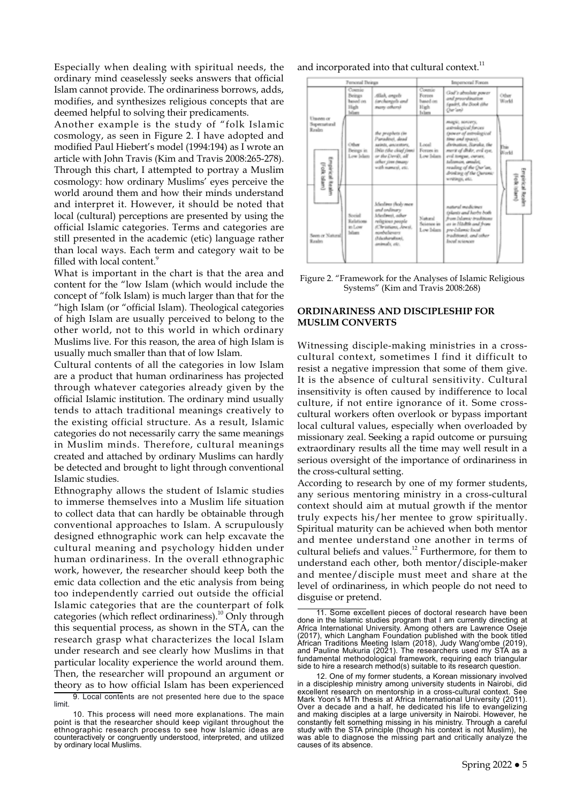Especially when dealing with spiritual needs, the ordinary mind ceaselessly seeks answers that official Islam cannot provide. The ordinariness borrows, adds, modifies, and synthesizes religious concepts that are deemed helpful to solving their predicaments.

Another example is the study of "folk Islamic cosmology, as seen in Figure 2. I have adopted and modified Paul Hiebert's model (1994:194) as I wrote an article with John Travis (Kim and Travis 2008:265-278). Through this chart, I attempted to portray a Muslim cosmology: how ordinary Muslims' eyes perceive the world around them and how their minds understand and interpret it. However, it should be noted that local (cultural) perceptions are presented by using the official Islamic categories. Terms and categories are still presented in the academic (etic) language rather than local ways. Each term and category wait to be filled with local content.<sup>9</sup>

What is important in the chart is that the area and content for the "low Islam (which would include the concept of "folk Islam) is much larger than that for the "high Islam (or "official Islam). Theological categories of high Islam are usually perceived to belong to the other world, not to this world in which ordinary Muslims live. For this reason, the area of high Islam is usually much smaller than that of low Islam.

Cultural contents of all the categories in low Islam are a product that human ordinariness has projected through whatever categories already given by the official Islamic institution. The ordinary mind usually tends to attach traditional meanings creatively to the existing official structure. As a result, Islamic categories do not necessarily carry the same meanings in Muslim minds. Therefore, cultural meanings created and attached by ordinary Muslims can hardly be detected and brought to light through conventional Islamic studies.

Ethnography allows the student of Islamic studies to immerse themselves into a Muslim life situation to collect data that can hardly be obtainable through conventional approaches to Islam. A scrupulously designed ethnographic work can help excavate the cultural meaning and psychology hidden under human ordinariness. In the overall ethnographic work, however, the researcher should keep both the emic data collection and the etic analysis from being too independently carried out outside the official Islamic categories that are the counterpart of folk categories (which reflect ordinariness).<sup>10</sup> Only through this sequential process, as shown in the STA, can the research grasp what characterizes the local Islam under research and see clearly how Muslims in that particular locality experience the world around them. Then, the researcher will propound an argument or theory as to how official Islam has been experienced

and incorporated into that cultural context.<sup>11</sup>



Figure 2. "Framework for the Analyses of Islamic Religious Systems" (Kim and Travis 2008:268)

# **ORDINARINESS AND DISCIPLESHIP FOR MUSLIM CONVERTS**

Witnessing disciple-making ministries in a crosscultural context, sometimes I find it difficult to resist a negative impression that some of them give. It is the absence of cultural sensitivity. Cultural insensitivity is often caused by indifference to local culture, if not entire ignorance of it. Some crosscultural workers often overlook or bypass important local cultural values, especially when overloaded by missionary zeal. Seeking a rapid outcome or pursuing extraordinary results all the time may well result in a serious oversight of the importance of ordinariness in the cross-cultural setting.

According to research by one of my former students, any serious mentoring ministry in a cross-cultural context should aim at mutual growth if the mentor truly expects his/her mentee to grow spiritually. Spiritual maturity can be achieved when both mentor and mentee understand one another in terms of cultural beliefs and values.12 Furthermore, for them to understand each other, both mentor/disciple-maker and mentee/disciple must meet and share at the level of ordinariness, in which people do not need to disguise or pretend.

<sup>9.</sup> Local contents are not presented here due to the space limit.

<sup>10.</sup> This process will need more explanations. The main point is that the researcher should keep vigilant throughout the ethnographic research process to see how Islamic ideas are counteractively or congruently understood, interpreted, and utilized by ordinary local Muslims.

<sup>11.</sup> Some excellent pieces of doctoral research have been done in the Islamic studies program that I am currently directing at Africa International University. Among others are Lawrence Oseje (2017), which Langham Foundation published with the book titled African Traditions Meeting Islam (2018), Judy Wang'ombe (2019), and Pauline Mukuria (2021). The researchers used my STA as a fundamental methodological framework, requiring each triangular side to hire a research method(s) suitable to its research question.

<sup>12.</sup> One of my former students, a Korean missionary involved in a discipleship ministry among university students in Nairobi, did excellent research on mentorship in a cross-cultural context. See Mark Yoon's MTh thesis at Africa International University (2011). Over a decade and a half, he dedicated his life to evangelizing and making disciples at a large university in Nairobi. However, he constantly felt something missing in his ministry. Through a careful study with the STA principle (though his context is not Muslim), he was able to diagnose the missing part and critically analyze the causes of its absence.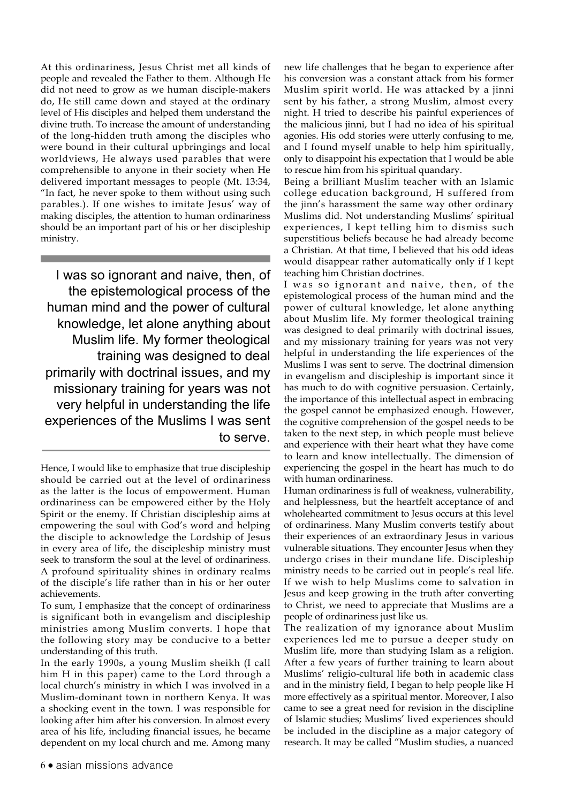At this ordinariness, Jesus Christ met all kinds of people and revealed the Father to them. Although He did not need to grow as we human disciple-makers do, He still came down and stayed at the ordinary level of His disciples and helped them understand the divine truth. To increase the amount of understanding of the long-hidden truth among the disciples who were bound in their cultural upbringings and local worldviews, He always used parables that were comprehensible to anyone in their society when He delivered important messages to people (Mt. 13:34, "In fact, he never spoke to them without using such parables.). If one wishes to imitate Jesus' way of making disciples, the attention to human ordinariness should be an important part of his or her discipleship ministry.

I was so ignorant and naive, then, of the epistemological process of the human mind and the power of cultural knowledge, let alone anything about Muslim life. My former theological training was designed to deal primarily with doctrinal issues, and my missionary training for years was not very helpful in understanding the life experiences of the Muslims I was sent to serve.

To sum, I emphasize that the concept of ordinariness is significant both in evangelism and discipleship ministries among Muslim converts. I hope that the following story may be conducive to a better understanding of this truth.

In the early 1990s, a young Muslim sheikh (I call him H in this paper) came to the Lord through a local church's ministry in which I was involved in a Muslim-dominant town in northern Kenya. It was a shocking event in the town. I was responsible for looking after him after his conversion. In almost every area of his life, including financial issues, he became dependent on my local church and me. Among many

new life challenges that he began to experience after his conversion was a constant attack from his former Muslim spirit world. He was attacked by a jinni sent by his father, a strong Muslim, almost every night. H tried to describe his painful experiences of the malicious jinni, but I had no idea of his spiritual agonies. His odd stories were utterly confusing to me, and I found myself unable to help him spiritually, only to disappoint his expectation that I would be able to rescue him from his spiritual quandary.

Being a brilliant Muslim teacher with an Islamic college education background, H suffered from the jinn's harassment the same way other ordinary Muslims did. Not understanding Muslims' spiritual experiences, I kept telling him to dismiss such superstitious beliefs because he had already become a Christian. At that time, I believed that his odd ideas would disappear rather automatically only if I kept teaching him Christian doctrines.

I was so ignorant and naive, then, of the epistemological process of the human mind and the power of cultural knowledge, let alone anything about Muslim life. My former theological training was designed to deal primarily with doctrinal issues, and my missionary training for years was not very helpful in understanding the life experiences of the Muslims I was sent to serve. The doctrinal dimension in evangelism and discipleship is important since it has much to do with cognitive persuasion. Certainly, the importance of this intellectual aspect in embracing the gospel cannot be emphasized enough. However, the cognitive comprehension of the gospel needs to be taken to the next step, in which people must believe and experience with their heart what they have come to learn and know intellectually. The dimension of experiencing the gospel in the heart has much to do with human ordinariness.

Human ordinariness is full of weakness, vulnerability, and helplessness, but the heartfelt acceptance of and wholehearted commitment to Jesus occurs at this level of ordinariness. Many Muslim converts testify about their experiences of an extraordinary Jesus in various vulnerable situations. They encounter Jesus when they undergo crises in their mundane life. Discipleship ministry needs to be carried out in people's real life. If we wish to help Muslims come to salvation in Jesus and keep growing in the truth after converting to Christ, we need to appreciate that Muslims are a people of ordinariness just like us.

The realization of my ignorance about Muslim experiences led me to pursue a deeper study on Muslim life, more than studying Islam as a religion. After a few years of further training to learn about Muslims' religio-cultural life both in academic class and in the ministry field, I began to help people like H more effectively as a spiritual mentor. Moreover, I also came to see a great need for revision in the discipline of Islamic studies; Muslims' lived experiences should be included in the discipline as a major category of research. It may be called "Muslim studies, a nuanced

Hence, I would like to emphasize that true discipleship should be carried out at the level of ordinariness as the latter is the locus of empowerment. Human ordinariness can be empowered either by the Holy Spirit or the enemy. If Christian discipleship aims at empowering the soul with God's word and helping the disciple to acknowledge the Lordship of Jesus in every area of life, the discipleship ministry must seek to transform the soul at the level of ordinariness. A profound spirituality shines in ordinary realms of the disciple's life rather than in his or her outer achievements.